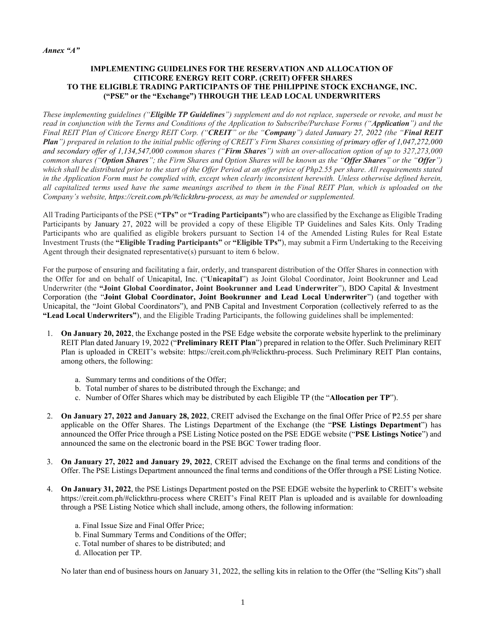#### *Annex "A"*

# **IMPLEMENTING GUIDELINES FOR THE RESERVATION AND ALLOCATION OF CITICORE ENERGY REIT CORP. (CREIT) OFFER SHARES TO THE ELIGIBLE TRADING PARTICIPANTS OF THE PHILIPPINE STOCK EXCHANGE, INC. ("PSE" or the "Exchange") THROUGH THE LEAD LOCAL UNDERWRITERS**

*These implementing guidelines ("Eligible TP Guidelines") supplement and do not replace, supersede or revoke, and must be read in conjunction with the Terms and Conditions of the Application to Subscribe/Purchase Forms ("Application") and the Final REIT Plan of Citicore Energy REIT Corp. ("CREIT" or the "Company") dated January 27, 2022 (the "Final REIT Plan") prepared in relation to the initial public offering of CREIT's Firm Shares consisting of primary offer of 1,047,272,000 and secondary offer of 1,134,547,000 common shares ("Firm Shares") with an over-allocation option of up to 327,273,000 common shares ("Option Shares"; the Firm Shares and Option Shares will be known as the "Offer Shares" or the "Offer") which shall be distributed prior to the start of the Offer Period at an offer price of Php2.55 per share. All requirements stated in the Application Form must be complied with, except when clearly inconsistent herewith. Unless otherwise defined herein, all capitalized terms used have the same meanings ascribed to them in the Final REIT Plan, which is uploaded on the Company's website, https://creit.com.ph/#clickthru-process, as may be amended or supplemented.*

All Trading Participants of the PSE (**"TPs"** or **"Trading Participants"**) who are classified by the Exchange as Eligible Trading Participants by January 27, 2022 will be provided a copy of these Eligible TP Guidelines and Sales Kits. Only Trading Participants who are qualified as eligible brokers pursuant to Section 14 of the Amended Listing Rules for Real Estate Investment Trusts (the **"Eligible Trading Participants"** or **"Eligible TPs"**), may submit a Firm Undertaking to the Receiving Agent through their designated representative(s) pursuant to item 6 below.

For the purpose of ensuring and facilitating a fair, orderly, and transparent distribution of the Offer Shares in connection with the Offer for and on behalf of Unicapital, Inc. ("**Unicapital**") as Joint Global Coordinator, Joint Bookrunner and Lead Underwriter (the **"Joint Global Coordinator, Joint Bookrunner and Lead Underwriter**"), BDO Capital & Investment Corporation (the "**Joint Global Coordinator, Joint Bookrunner and Lead Local Underwriter**") (and together with Unicapital, the "Joint Global Coordinators"), and PNB Capital and Investment Corporation (collectively referred to as the **"Lead Local Underwriters"**), and the Eligible Trading Participants, the following guidelines shall be implemented:

- 1. **On January 20, 2022**, the Exchange posted in the PSE Edge website the corporate website hyperlink to the preliminary REIT Plan dated January 19, 2022 ("**Preliminary REIT Plan**") prepared in relation to the Offer. Such Preliminary REIT Plan is uploaded in CREIT's website: https://creit.com.ph/#clickthru-process. Such Preliminary REIT Plan contains, among others, the following:
	- a. Summary terms and conditions of the Offer;
	- b. Total number of shares to be distributed through the Exchange; and
	- c. Number of Offer Shares which may be distributed by each Eligible TP (the "**Allocation per TP**").
- 2. **On January 27, 2022 and January 28, 2022**, CREIT advised the Exchange on the final Offer Price of ₱2.55 per share applicable on the Offer Shares. The Listings Department of the Exchange (the "**PSE Listings Department**") has announced the Offer Price through a PSE Listing Notice posted on the PSE EDGE website ("**PSE Listings Notice**") and announced the same on the electronic board in the PSE BGC Tower trading floor.
- 3. **On January 27, 2022 and January 29, 2022**, CREIT advised the Exchange on the final terms and conditions of the Offer. The PSE Listings Department announced the final terms and conditions of the Offer through a PSE Listing Notice.
- 4. **On January 31, 2022**, the PSE Listings Department posted on the PSE EDGE website the hyperlink to CREIT's website https://creit.com.ph/#clickthru-process where CREIT's Final REIT Plan is uploaded and is available for downloading through a PSE Listing Notice which shall include, among others, the following information:
	- a. Final Issue Size and Final Offer Price;
	- b. Final Summary Terms and Conditions of the Offer;
	- c. Total number of shares to be distributed; and
	- d. Allocation per TP.

No later than end of business hours on January 31, 2022, the selling kits in relation to the Offer (the "Selling Kits") shall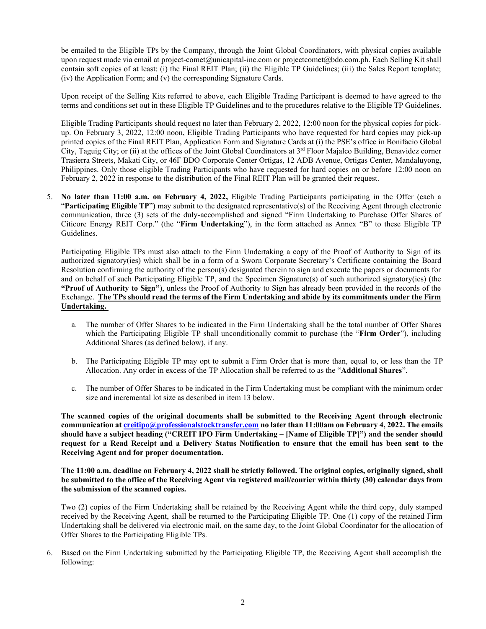be emailed to the Eligible TPs by the Company, through the Joint Global Coordinators, with physical copies available upon request made via email at project-comet@unicapital-inc.com or projectcomet@bdo.com.ph. Each Selling Kit shall contain soft copies of at least: (i) the Final REIT Plan; (ii) the Eligible TP Guidelines; (iii) the Sales Report template; (iv) the Application Form; and (v) the corresponding Signature Cards.

Upon receipt of the Selling Kits referred to above, each Eligible Trading Participant is deemed to have agreed to the terms and conditions set out in these Eligible TP Guidelines and to the procedures relative to the Eligible TP Guidelines.

Eligible Trading Participants should request no later than February 2, 2022, 12:00 noon for the physical copies for pickup. On February 3, 2022, 12:00 noon, Eligible Trading Participants who have requested for hard copies may pick-up printed copies of the Final REIT Plan, Application Form and Signature Cards at (i) the PSE's office in Bonifacio Global City, Taguig City; or (ii) at the offices of the Joint Global Coordinators at 3<sup>rd</sup> Floor Majalco Building, Benavidez corner Trasierra Streets, Makati City, or 46F BDO Corporate Center Ortigas, 12 ADB Avenue, Ortigas Center, Mandaluyong, Philippines. Only those eligible Trading Participants who have requested for hard copies on or before 12:00 noon on February 2, 2022 in response to the distribution of the Final REIT Plan will be granted their request.

5. **No later than 11:00 a.m. on February 4, 2022,** Eligible Trading Participants participating in the Offer (each a "**Participating Eligible TP**") may submit to the designated representative(s) of the Receiving Agent through electronic communication, three (3) sets of the duly-accomplished and signed "Firm Undertaking to Purchase Offer Shares of Citicore Energy REIT Corp." (the "**Firm Undertaking**"), in the form attached as Annex "B" to these Eligible TP Guidelines.

Participating Eligible TPs must also attach to the Firm Undertaking a copy of the Proof of Authority to Sign of its authorized signatory(ies) which shall be in a form of a Sworn Corporate Secretary's Certificate containing the Board Resolution confirming the authority of the person(s) designated therein to sign and execute the papers or documents for and on behalf of such Participating Eligible TP, and the Specimen Signature(s) of such authorized signatory(ies) (the **"Proof of Authority to Sign"**), unless the Proof of Authority to Sign has already been provided in the records of the Exchange. **The TPs should read the terms of the Firm Undertaking and abide by its commitments under the Firm Undertaking.**

- a. The number of Offer Shares to be indicated in the Firm Undertaking shall be the total number of Offer Shares which the Participating Eligible TP shall unconditionally commit to purchase (the "**Firm Order**"), including Additional Shares (as defined below), if any.
- b. The Participating Eligible TP may opt to submit a Firm Order that is more than, equal to, or less than the TP Allocation. Any order in excess of the TP Allocation shall be referred to as the "**Additional Shares**".
- c. The number of Offer Shares to be indicated in the Firm Undertaking must be compliant with the minimum order size and incremental lot size as described in item 13 below.

**The scanned copies of the original documents shall be submitted to the Receiving Agent through electronic communication a[t creitipo@professionalstocktransfer.com](mailto:creitipo@professionalstocktransfer.com) no later than 11:00am on February 4, 2022. The emails should have a subject heading ("CREIT IPO Firm Undertaking – [Name of Eligible TP]") and the sender should request for a Read Receipt and a Delivery Status Notification to ensure that the email has been sent to the Receiving Agent and for proper documentation.** 

**The 11:00 a.m. deadline on February 4, 2022 shall be strictly followed. The original copies, originally signed, shall be submitted to the office of the Receiving Agent via registered mail/courier within thirty (30) calendar days from the submission of the scanned copies.** 

Two (2) copies of the Firm Undertaking shall be retained by the Receiving Agent while the third copy, duly stamped received by the Receiving Agent, shall be returned to the Participating Eligible TP. One (1) copy of the retained Firm Undertaking shall be delivered via electronic mail, on the same day, to the Joint Global Coordinator for the allocation of Offer Shares to the Participating Eligible TPs.

6. Based on the Firm Undertaking submitted by the Participating Eligible TP, the Receiving Agent shall accomplish the following: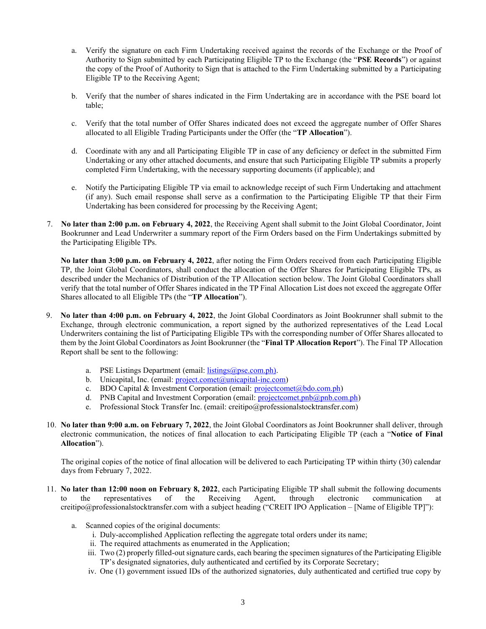- a. Verify the signature on each Firm Undertaking received against the records of the Exchange or the Proof of Authority to Sign submitted by each Participating Eligible TP to the Exchange (the "**PSE Records**") or against the copy of the Proof of Authority to Sign that is attached to the Firm Undertaking submitted by a Participating Eligible TP to the Receiving Agent;
- b. Verify that the number of shares indicated in the Firm Undertaking are in accordance with the PSE board lot table;
- c. Verify that the total number of Offer Shares indicated does not exceed the aggregate number of Offer Shares allocated to all Eligible Trading Participants under the Offer (the "**TP Allocation**").
- d. Coordinate with any and all Participating Eligible TP in case of any deficiency or defect in the submitted Firm Undertaking or any other attached documents, and ensure that such Participating Eligible TP submits a properly completed Firm Undertaking, with the necessary supporting documents (if applicable); and
- e. Notify the Participating Eligible TP via email to acknowledge receipt of such Firm Undertaking and attachment (if any). Such email response shall serve as a confirmation to the Participating Eligible TP that their Firm Undertaking has been considered for processing by the Receiving Agent;
- 7. **No later than 2:00 p.m. on February 4, 2022**, the Receiving Agent shall submit to the Joint Global Coordinator, Joint Bookrunner and Lead Underwriter a summary report of the Firm Orders based on the Firm Undertakings submitted by the Participating Eligible TPs.

**No later than 3:00 p.m. on February 4, 2022**, after noting the Firm Orders received from each Participating Eligible TP, the Joint Global Coordinators, shall conduct the allocation of the Offer Shares for Participating Eligible TPs, as described under the Mechanics of Distribution of the TP Allocation section below. The Joint Global Coordinators shall verify that the total number of Offer Shares indicated in the TP Final Allocation List does not exceed the aggregate Offer Shares allocated to all Eligible TPs (the "**TP Allocation**").

- 9. **No later than 4:00 p.m. on February 4, 2022**, the Joint Global Coordinators as Joint Bookrunner shall submit to the Exchange, through electronic communication, a report signed by the authorized representatives of the Lead Local Underwriters containing the list of Participating Eligible TPs with the corresponding number of Offer Shares allocated to them by the Joint Global Coordinators as Joint Bookrunner (the "**Final TP Allocation Report**"). The Final TP Allocation Report shall be sent to the following:
	- a. PSE Listings Department (email: [listings@pse.com.ph\).](mailto:listings@pse.com.ph))
	- b. Unicapital, Inc. (email:  $project.comet@unicapital-inc.com)$ )
	- c. BDO Capital & Investment Corporation (email: [projectcomet@bdo.com.ph\)](mailto:projectcomet@bdo.com.ph)
	- d. PNB Capital and Investment Corporation (email: [projectcomet.pnb@pnb.com.ph\)](mailto:projectcomet.pnb@pnb.com.ph)
	- e. Professional Stock Transfer Inc. (email: creitipo@professionalstocktransfer.com)
- 10. **No later than 9:00 a.m. on February 7, 2022**, the Joint Global Coordinators as Joint Bookrunner shall deliver, through electronic communication, the notices of final allocation to each Participating Eligible TP (each a "**Notice of Final Allocation**").

The original copies of the notice of final allocation will be delivered to each Participating TP within thirty (30) calendar days from February 7, 2022.

- 11. **No later than 12:00 noon on February 8, 2022**, each Participating Eligible TP shall submit the following documents to the representatives of the Receiving Agent, through electronic communication at creitipo@professionalstocktransfer.com with a subject heading ("CREIT IPO Application – [Name of Eligible TP]"):
	- a. Scanned copies of the original documents:
		- i. Duly-accomplished Application reflecting the aggregate total orders under its name;
		- ii. The required attachments as enumerated in the Application;
		- iii. Two (2) properly filled-out signature cards, each bearing the specimen signatures of the Participating Eligible TP's designated signatories, duly authenticated and certified by its Corporate Secretary;
		- iv. One (1) government issued IDs of the authorized signatories, duly authenticated and certified true copy by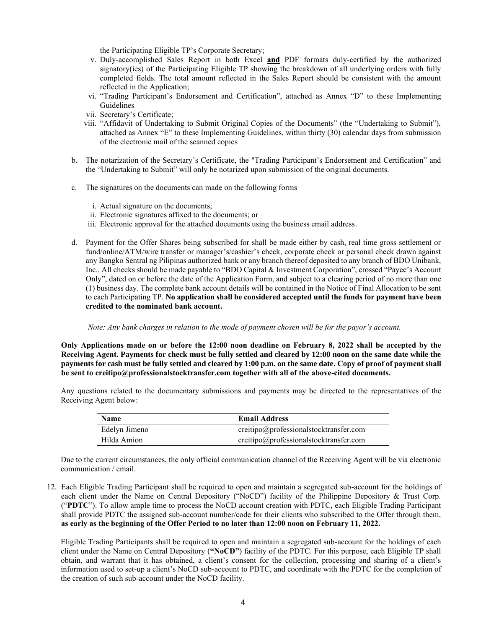the Participating Eligible TP's Corporate Secretary;

- v. Duly-accomplished Sales Report in both Excel **and** PDF formats duly-certified by the authorized signatory(ies) of the Participating Eligible TP showing the breakdown of all underlying orders with fully completed fields. The total amount reflected in the Sales Report should be consistent with the amount reflected in the Application;
- vi. "Trading Participant's Endorsement and Certification", attached as Annex "D" to these Implementing Guidelines
- vii. Secretary's Certificate;
- viii. "Affidavit of Undertaking to Submit Original Copies of the Documents" (the "Undertaking to Submit"), attached as Annex "E" to these Implementing Guidelines, within thirty (30) calendar days from submission of the electronic mail of the scanned copies
- b. The notarization of the Secretary's Certificate, the "Trading Participant's Endorsement and Certification" and the "Undertaking to Submit" will only be notarized upon submission of the original documents.
- c. The signatures on the documents can made on the following forms
	- i. Actual signature on the documents;
	- ii. Electronic signatures affixed to the documents; or
	- iii. Electronic approval for the attached documents using the business email address.
- d. Payment for the Offer Shares being subscribed for shall be made either by cash, real time gross settlement or fund/online/ATM/wire transfer or manager's/cashier's check, corporate check or personal check drawn against any Bangko Sentral ng Pilipinas authorized bank or any branch thereof deposited to any branch of BDO Unibank, Inc.. All checks should be made payable to "BDO Capital & Investment Corporation", crossed "Payee's Account Only", dated on or before the date of the Application Form, and subject to a clearing period of no more than one (1) business day. The complete bank account details will be contained in the Notice of Final Allocation to be sent to each Participating TP. **No application shall be considered accepted until the funds for payment have been credited to the nominated bank account.**

#### *Note: Any bank charges in relation to the mode of payment chosen will be for the payor's account.*

**Only Applications made on or before the 12:00 noon deadline on February 8, 2022 shall be accepted by the Receiving Agent. Payments for check must be fully settled and cleared by 12:00 noon on the same date while the payments for cash must be fully settled and cleared by 1:00 p.m. on the same date. Copy of proof of payment shall be sent to creitipo@professionalstocktransfer.com together with all of the above-cited documents.**

Any questions related to the documentary submissions and payments may be directed to the representatives of the Receiving Agent below:

| <b>Name</b>   | <b>Email Address</b>                      |
|---------------|-------------------------------------------|
| Edelyn Jimeno | creitipo@professionalstocktransfer.com    |
| Hilda Amion   | $creitipo@professionalstock transfer.com$ |

Due to the current circumstances, the only official communication channel of the Receiving Agent will be via electronic communication / email.

12. Each Eligible Trading Participant shall be required to open and maintain a segregated sub-account for the holdings of each client under the Name on Central Depository ("NoCD") facility of the Philippine Depository & Trust Corp. ("**PDTC**"). To allow ample time to process the NoCD account creation with PDTC, each Eligible Trading Participant shall provide PDTC the assigned sub-account number/code for their clients who subscribed to the Offer through them, **as early as the beginning of the Offer Period to no later than 12:00 noon on February 11, 2022.**

Eligible Trading Participants shall be required to open and maintain a segregated sub-account for the holdings of each client under the Name on Central Depository (**"NoCD"**) facility of the PDTC. For this purpose, each Eligible TP shall obtain, and warrant that it has obtained, a client's consent for the collection, processing and sharing of a client's information used to set-up a client's NoCD sub-account to PDTC, and coordinate with the PDTC for the completion of the creation of such sub-account under the NoCD facility.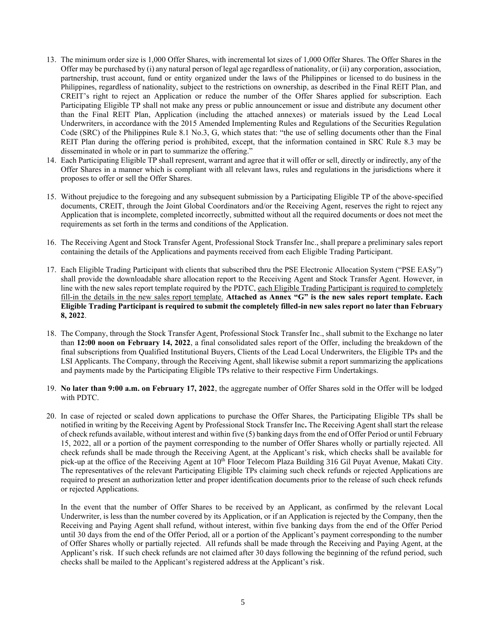- 13. The minimum order size is 1,000 Offer Shares, with incremental lot sizes of 1,000 Offer Shares. The Offer Shares in the Offer may be purchased by (i) any natural person of legal age regardless of nationality, or (ii) any corporation, association, partnership, trust account, fund or entity organized under the laws of the Philippines or licensed to do business in the Philippines, regardless of nationality, subject to the restrictions on ownership, as described in the Final REIT Plan, and CREIT's right to reject an Application or reduce the number of the Offer Shares applied for subscription. Each Participating Eligible TP shall not make any press or public announcement or issue and distribute any document other than the Final REIT Plan, Application (including the attached annexes) or materials issued by the Lead Local Underwriters, in accordance with the 2015 Amended Implementing Rules and Regulations of the Securities Regulation Code (SRC) of the Philippines Rule 8.1 No.3, G, which states that: "the use of selling documents other than the Final REIT Plan during the offering period is prohibited, except, that the information contained in SRC Rule 8.3 may be disseminated in whole or in part to summarize the offering."
- 14. Each Participating Eligible TP shall represent, warrant and agree that it will offer or sell, directly or indirectly, any of the Offer Shares in a manner which is compliant with all relevant laws, rules and regulations in the jurisdictions where it proposes to offer or sell the Offer Shares.
- 15. Without prejudice to the foregoing and any subsequent submission by a Participating Eligible TP of the above-specified documents, CREIT, through the Joint Global Coordinators and/or the Receiving Agent, reserves the right to reject any Application that is incomplete, completed incorrectly, submitted without all the required documents or does not meet the requirements as set forth in the terms and conditions of the Application.
- 16. The Receiving Agent and Stock Transfer Agent, Professional Stock Transfer Inc., shall prepare a preliminary sales report containing the details of the Applications and payments received from each Eligible Trading Participant.
- 17. Each Eligible Trading Participant with clients that subscribed thru the PSE Electronic Allocation System ("PSE EASy") shall provide the downloadable share allocation report to the Receiving Agent and Stock Transfer Agent. However, in line with the new sales report template required by the PDTC, each Eligible Trading Participant is required to completely fill-in the details in the new sales report template. **Attached as Annex "G" is the new sales report template. Each Eligible Trading Participant is required to submit the completely filled-in new sales report no later than February 8, 2022**.
- 18. The Company, through the Stock Transfer Agent, Professional Stock Transfer Inc., shall submit to the Exchange no later than **12:00 noon on February 14, 2022**, a final consolidated sales report of the Offer, including the breakdown of the final subscriptions from Qualified Institutional Buyers, Clients of the Lead Local Underwriters, the Eligible TPs and the LSI Applicants. The Company, through the Receiving Agent, shall likewise submit a report summarizing the applications and payments made by the Participating Eligible TPs relative to their respective Firm Undertakings.
- 19. **No later than 9:00 a.m. on February 17, 2022**, the aggregate number of Offer Shares sold in the Offer will be lodged with PDTC.
- 20. In case of rejected or scaled down applications to purchase the Offer Shares, the Participating Eligible TPs shall be notified in writing by the Receiving Agent by Professional Stock Transfer Inc**.** The Receiving Agent shall start the release of check refunds available, without interest and within five (5) banking days from the end of Offer Period or until February 15, 2022, all or a portion of the payment corresponding to the number of Offer Shares wholly or partially rejected. All check refunds shall be made through the Receiving Agent, at the Applicant's risk, which checks shall be available for pick-up at the office of the Receiving Agent at 10<sup>th</sup> Floor Telecom Plaza Building 316 Gil Puyat Avenue, Makati City. The representatives of the relevant Participating Eligible TPs claiming such check refunds or rejected Applications are required to present an authorization letter and proper identification documents prior to the release of such check refunds or rejected Applications.

In the event that the number of Offer Shares to be received by an Applicant, as confirmed by the relevant Local Underwriter, is less than the number covered by its Application, or if an Application is rejected by the Company, then the Receiving and Paying Agent shall refund, without interest, within five banking days from the end of the Offer Period until 30 days from the end of the Offer Period, all or a portion of the Applicant's payment corresponding to the number of Offer Shares wholly or partially rejected. All refunds shall be made through the Receiving and Paying Agent, at the Applicant's risk. If such check refunds are not claimed after 30 days following the beginning of the refund period, such checks shall be mailed to the Applicant's registered address at the Applicant's risk.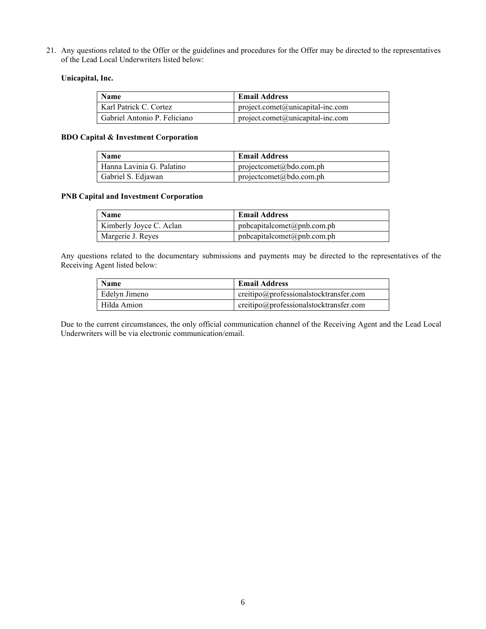21. Any questions related to the Offer or the guidelines and procedures for the Offer may be directed to the representatives of the Lead Local Underwriters listed below:

# **Unicapital, Inc.**

| <b>Name</b>                  | <b>Email Address</b>               |
|------------------------------|------------------------------------|
| Karl Patrick C. Cortez       | $project.comet@unicapital-inc.com$ |
| Gabriel Antonio P. Feliciano | $project.comet@unicapital-inc.com$ |

## **BDO Capital & Investment Corporation**

| <b>Name</b>               | <b>Email Address</b>                       |
|---------------------------|--------------------------------------------|
| Hanna Lavinia G. Palatino | $projectcomet(\widehat{a})bdo.com.php$     |
| Gabriel S. Edjawan        | $projectcomet(\mathcal{Q}bdo.com\cdot ph)$ |

# **PNB Capital and Investment Corporation**

| <b>Name</b>             | <b>Email Address</b>                |
|-------------------------|-------------------------------------|
| Kimberly Joyce C. Aclan | phcapital comet@pnb.com.php         |
| Margerie J. Reyes       | $phcapitalcomet(\omega)$ pnb.com.ph |

Any questions related to the documentary submissions and payments may be directed to the representatives of the Receiving Agent listed below:

| <b>Name</b>   | <b>Email Address</b>                   |
|---------------|----------------------------------------|
| Edelyn Jimeno | creitipo@professionalstocktransfer.com |
| Hilda Amion   | creitipo@professionalstocktransfer.com |

Due to the current circumstances, the only official communication channel of the Receiving Agent and the Lead Local Underwriters will be via electronic communication/email.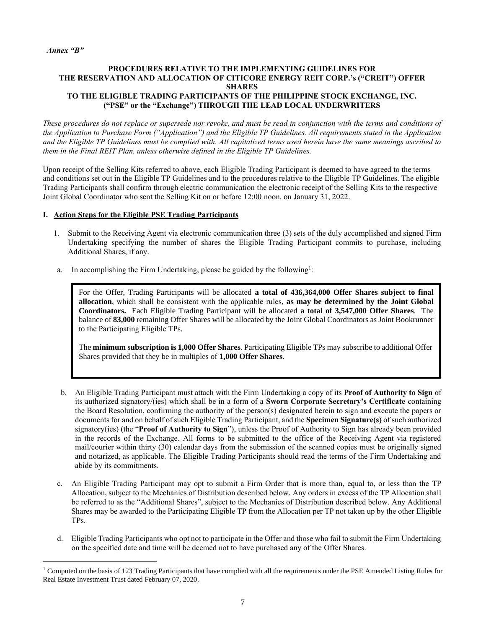#### *Annex "B"*

## **PROCEDURES RELATIVE TO THE IMPLEMENTING GUIDELINES FOR THE RESERVATION AND ALLOCATION OF CITICORE ENERGY REIT CORP.'s ("CREIT") OFFER SHARES TO THE ELIGIBLE TRADING PARTICIPANTS OF THE PHILIPPINE STOCK EXCHANGE, INC. ("PSE" or the "Exchange") THROUGH THE LEAD LOCAL UNDERWRITERS**

*These procedures do not replace or supersede nor revoke, and must be read in conjunction with the terms and conditions of the Application to Purchase Form ("Application") and the Eligible TP Guidelines. All requirements stated in the Application and the Eligible TP Guidelines must be complied with. All capitalized terms used herein have the same meanings ascribed to them in the Final REIT Plan, unless otherwise defined in the Eligible TP Guidelines.*

Upon receipt of the Selling Kits referred to above, each Eligible Trading Participant is deemed to have agreed to the terms and conditions set out in the Eligible TP Guidelines and to the procedures relative to the Eligible TP Guidelines. The eligible Trading Participants shall confirm through electric communication the electronic receipt of the Selling Kits to the respective Joint Global Coordinator who sent the Selling Kit on or before 12:00 noon. on January 31, 2022.

## **I. Action Steps for the Eligible PSE Trading Participants**

- 1. Submit to the Receiving Agent via electronic communication three (3) sets of the duly accomplished and signed Firm Undertaking specifying the number of shares the Eligible Trading Participant commits to purchase, including Additional Shares, if any.
- a. In accomplishing the Firm Undertaking, please be guided by the following<sup>1</sup>:

For the Offer, Trading Participants will be allocated **a total of 436,364,000 Offer Shares subject to final allocation**, which shall be consistent with the applicable rules, **as may be determined by the Joint Global Coordinators.** Each Eligible Trading Participant will be allocated **a total of 3,547,000 Offer Shares**. The balance of 83,000 remaining Offer Shares will be allocated by the Joint Global Coordinators as Joint Bookrunner to the Participating Eligible TPs.

The **minimum subscription is 1,000 Offer Shares**. Participating Eligible TPs may subscribe to additional Offer Shares provided that they be in multiples of **1,000 Offer Shares**.

- b. An Eligible Trading Participant must attach with the Firm Undertaking a copy of its **Proof of Authority to Sign** of its authorized signatory/(ies) which shall be in a form of a **Sworn Corporate Secretary's Certificate** containing the Board Resolution, confirming the authority of the person(s) designated herein to sign and execute the papers or documents for and on behalf of such Eligible Trading Participant, and the **Specimen Signature(s)** of such authorized signatory(ies) (the "**Proof of Authority to Sign**"), unless the Proof of Authority to Sign has already been provided in the records of the Exchange. All forms to be submitted to the office of the Receiving Agent via registered mail/courier within thirty (30) calendar days from the submission of the scanned copies must be originally signed and notarized, as applicable. The Eligible Trading Participants should read the terms of the Firm Undertaking and abide by its commitments.
- c. An Eligible Trading Participant may opt to submit a Firm Order that is more than, equal to, or less than the TP Allocation, subject to the Mechanics of Distribution described below. Any orders in excess of the TP Allocation shall be referred to as the "Additional Shares", subject to the Mechanics of Distribution described below. Any Additional Shares may be awarded to the Participating Eligible TP from the Allocation per TP not taken up by the other Eligible TPs.
- d. Eligible Trading Participants who opt not to participate in the Offer and those who fail to submit the Firm Undertaking on the specified date and time will be deemed not to have purchased any of the Offer Shares.

<sup>1</sup> Computed on the basis of 123 Trading Participants that have complied with all the requirements under the PSE Amended Listing Rules for Real Estate Investment Trust dated February 07, 2020.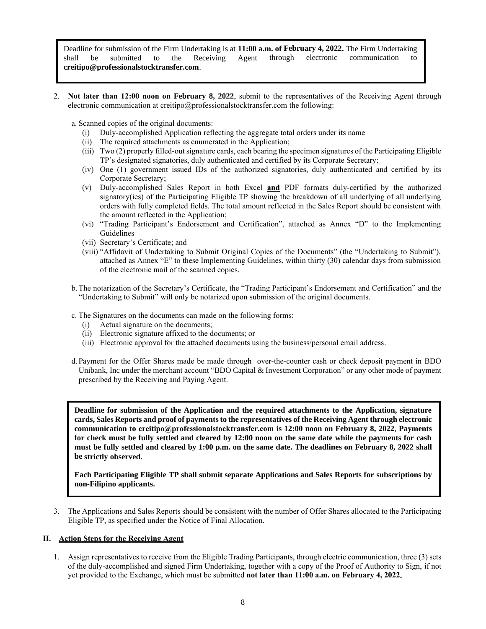Deadline for submission of the Firm Undertaking is at **11:00 a.m. of February 4, 2022.** The Firm Undertaking shall be submitted to the Receiving Agent through electronic communication to **creitipo@professionalstocktransfer.com**.

2. **Not later than 12:00 noon on February 8, 2022**, submit to the representatives of the Receiving Agent through electronic communication at creitipo@professionalstocktransfer.com the following:

a. Scanned copies of the original documents:

- (i) Duly-accomplished Application reflecting the aggregate total orders under its name
- (ii) The required attachments as enumerated in the Application;
- (iii) Two (2) properly filled-out signature cards, each bearing the specimen signatures of the Participating Eligible TP's designated signatories, duly authenticated and certified by its Corporate Secretary;
- (iv) One (1) government issued IDs of the authorized signatories, duly authenticated and certified by its Corporate Secretary;
- (v) Duly-accomplished Sales Report in both Excel **and** PDF formats duly-certified by the authorized signatory(ies) of the Participating Eligible TP showing the breakdown of all underlying of all underlying orders with fully completed fields. The total amount reflected in the Sales Report should be consistent with the amount reflected in the Application;
- (vi) "Trading Participant's Endorsement and Certification", attached as Annex "D" to the Implementing Guidelines
- (vii) Secretary's Certificate; and
- (viii) "Affidavit of Undertaking to Submit Original Copies of the Documents" (the "Undertaking to Submit"), attached as Annex "E" to these Implementing Guidelines, within thirty (30) calendar days from submission of the electronic mail of the scanned copies.
- b.The notarization of the Secretary's Certificate, the "Trading Participant's Endorsement and Certification" and the "Undertaking to Submit" will only be notarized upon submission of the original documents.
- c. The Signatures on the documents can made on the following forms:
	- (i) Actual signature on the documents;
	- (ii) Electronic signature affixed to the documents; or
	- (iii) Electronic approval for the attached documents using the business/personal email address.
- d. Payment for the Offer Shares made be made through over-the-counter cash or check deposit payment in BDO Unibank, Inc under the merchant account "BDO Capital & Investment Corporation" or any other mode of payment prescribed by the Receiving and Paying Agent.

**Deadline for submission of the Application and the required attachments to the Application, signature cards, Sales Reports and proof of payments to the representatives of the Receiving Agent through electronic communication to creitipo@professionalstocktransfer.com is 12:00 noon on February 8, 2022. Payments for check must be fully settled and cleared by 12:00 noon on the same date while the payments for cash must be fully settled and cleared by 1:00 p.m. on the same date. The deadlines on February 8, 2022 shall be strictly observed**.

**Each Participating Eligible TP shall submit separate Applications and Sales Reports for subscriptions by non-Filipino applicants.**

3. The Applications and Sales Reports should be consistent with the number of Offer Shares allocated to the Participating Eligible TP, as specified under the Notice of Final Allocation.

#### **II. Action Steps for the Receiving Agent**

1. Assign representatives to receive from the Eligible Trading Participants, through electric communication, three (3) sets of the duly-accomplished and signed Firm Undertaking, together with a copy of the Proof of Authority to Sign, if not yet provided to the Exchange, which must be submitted **not later than 11:00 a.m. on February 4, 2022.**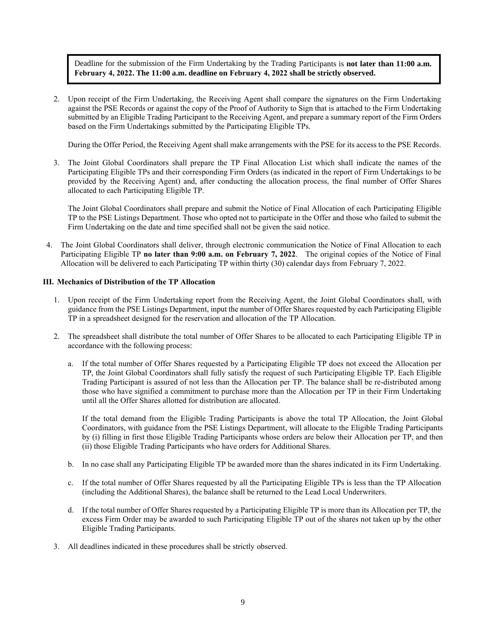Deadline for the submission of the Firm Undertaking by the Trading Participants is **not later than 11:00 a.m. February 4, 2022. The 11:00 a.m. deadline on February 4, 2022 shall be strictly observed.**

2. Upon receipt of the Firm Undertaking, the Receiving Agent shall compare the signatures on the Firm Undertaking against the PSE Records or against the copy of the Proof of Authority to Sign that is attached to the Firm Undertaking submitted by an Eligible Trading Participant to the Receiving Agent, and prepare a summary report of the Firm Orders based on the Firm Undertakings submitted by the Participating Eligible TPs.

During the Offer Period, the Receiving Agent shall make arrangements with the PSE for its access to the PSE Records.

3. The Joint Global Coordinators shall prepare the TP Final Allocation List which shall indicate the names of the Participating Eligible TPs and their corresponding Firm Orders (as indicated in the report of Firm Undertakings to be provided by the Receiving Agent) and, after conducting the allocation process, the final number of Offer Shares allocated to each Participating Eligible TP.

The Joint Global Coordinators shall prepare and submit the Notice of Final Allocation of each Participating Eligible TP to the PSE Listings Department. Those who opted not to participate in the Offer and those who failed to submit the Firm Undertaking on the date and time specified shall not be given the said notice.

4. The Joint Global Coordinators shall deliver, through electronic communication the Notice of Final Allocation to each Participating Eligible TP **no later than 9:00 a.m. on February 7, 2022**. The original copies of the Notice of Final Allocation will be delivered to each Participating TP within thirty (30) calendar days from February 7, 2022.

## **III. Mechanics of Distribution of the TP Allocation**

- 1. Upon receipt of the Firm Undertaking report from the Receiving Agent, the Joint Global Coordinators shall, with guidance from the PSE Listings Department, input the number of Offer Shares requested by each Participating Eligible TP in a spreadsheet designed for the reservation and allocation of the TP Allocation.
- 2. The spreadsheet shall distribute the total number of Offer Shares to be allocated to each Participating Eligible TP in accordance with the following process:
	- a. If the total number of Offer Shares requested by a Participating Eligible TP does not exceed the Allocation per TP, the Joint Global Coordinators shall fully satisfy the request of such Participating Eligible TP. Each Eligible Trading Participant is assured of not less than the Allocation per TP. The balance shall be re-distributed among those who have signified a commitment to purchase more than the Allocation per TP in their Firm Undertaking until all the Offer Shares allotted for distribution are allocated.

If the total demand from the Eligible Trading Participants is above the total TP Allocation, the Joint Global Coordinators, with guidance from the PSE Listings Department, will allocate to the Eligible Trading Participants by (i) filling in first those Eligible Trading Participants whose orders are below their Allocation per TP, and then (ii) those Eligible Trading Participants who have orders for Additional Shares.

- b. In no case shall any Participating Eligible TP be awarded more than the shares indicated in its Firm Undertaking.
- c. If the total number of Offer Shares requested by all the Participating Eligible TPs is less than the TP Allocation (including the Additional Shares), the balance shall be returned to the Lead Local Underwriters.
- d. If the total number of Offer Shares requested by a Participating Eligible TP is more than its Allocation per TP, the excess Firm Order may be awarded to such Participating Eligible TP out of the shares not taken up by the other Eligible Trading Participants.
- 3. All deadlines indicated in these procedures shall be strictly observed.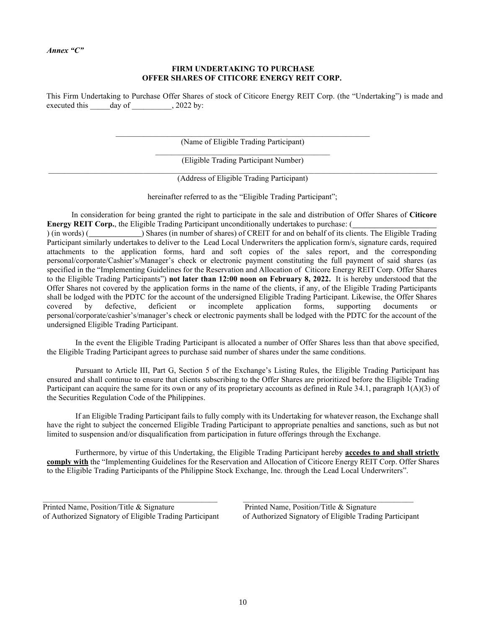#### *Annex "C"*

## **FIRM UNDERTAKING TO PURCHASE OFFER SHARES OF CITICORE ENERGY REIT CORP.**

This Firm Undertaking to Purchase Offer Shares of stock of Citicore Energy REIT Corp. (the "Undertaking") is made and executed this day of , 2022 by:

> $\mathcal{L}_\text{max} = \mathcal{L}_\text{max} = \mathcal{L}_\text{max} = \mathcal{L}_\text{max} = \mathcal{L}_\text{max} = \mathcal{L}_\text{max} = \mathcal{L}_\text{max} = \mathcal{L}_\text{max} = \mathcal{L}_\text{max} = \mathcal{L}_\text{max} = \mathcal{L}_\text{max} = \mathcal{L}_\text{max} = \mathcal{L}_\text{max} = \mathcal{L}_\text{max} = \mathcal{L}_\text{max} = \mathcal{L}_\text{max} = \mathcal{L}_\text{max} = \mathcal{L}_\text{max} = \mathcal{$ (Name of Eligible Trading Participant)

> > \_\_\_\_\_\_\_\_\_\_\_\_\_\_\_\_\_\_\_\_\_\_\_\_\_\_\_\_\_\_\_\_\_\_\_\_\_\_\_\_\_\_\_\_ (Eligible Trading Participant Number)

> > > (Address of Eligible Trading Participant)

hereinafter referred to as the "Eligible Trading Participant";

In consideration for being granted the right to participate in the sale and distribution of Offer Shares of **Citicore Energy REIT Corp.**, the Eligible Trading Participant unconditionally undertakes to purchase: (

) (in words) ( ) Shares (in number of shares) of CREIT for and on behalf of its clients. The Eligible Trading Participant similarly undertakes to deliver to the Lead Local Underwriters the application form/s, signature cards, required attachments to the application forms, hard and soft copies of the sales report, and the corresponding personal/corporate/Cashier's/Manager's check or electronic payment constituting the full payment of said shares (as specified in the "Implementing Guidelines for the Reservation and Allocation of Citicore Energy REIT Corp. Offer Shares to the Eligible Trading Participants") **not later than 12:00 noon on February 8, 2022.** It is hereby understood that the Offer Shares not covered by the application forms in the name of the clients, if any, of the Eligible Trading Participants shall be lodged with the PDTC for the account of the undersigned Eligible Trading Participant. Likewise, the Offer Shares covered by defective, deficient or incomplete application forms, supporting documents or personal/corporate/cashier's/manager's check or electronic payments shall be lodged with the PDTC for the account of the undersigned Eligible Trading Participant.

In the event the Eligible Trading Participant is allocated a number of Offer Shares less than that above specified, the Eligible Trading Participant agrees to purchase said number of shares under the same conditions.

Pursuant to Article III, Part G, Section 5 of the Exchange's Listing Rules, the Eligible Trading Participant has ensured and shall continue to ensure that clients subscribing to the Offer Shares are prioritized before the Eligible Trading Participant can acquire the same for its own or any of its proprietary accounts as defined in Rule 34.1, paragraph 1(A)(3) of the Securities Regulation Code of the Philippines.

If an Eligible Trading Participant fails to fully comply with its Undertaking for whatever reason, the Exchange shall have the right to subject the concerned Eligible Trading Participant to appropriate penalties and sanctions, such as but not limited to suspension and/or disqualification from participation in future offerings through the Exchange.

Furthermore, by virtue of this Undertaking, the Eligible Trading Participant hereby **accedes to and shall strictly comply with** the "Implementing Guidelines for the Reservation and Allocation of Citicore Energy REIT Corp. Offer Shares to the Eligible Trading Participants of the Philippine Stock Exchange, Inc. through the Lead Local Underwriters".

Printed Name, Position/Title & Signature Printed Name, Position/Title & Signature

of Authorized Signatory of Eligible Trading Participant of Authorized Signatory of Eligible Trading Participant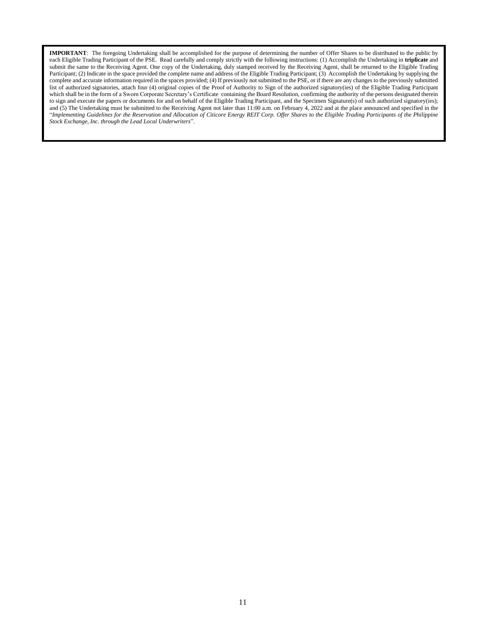**IMPORTANT**: The foregoing Undertaking shall be accomplished for the purpose of determining the number of Offer Shares to be distributed to the public by each Eligible Trading Participant of the PSE. Read carefully and comply strictly with the following instructions: (1) Accomplish the Undertaking in **triplicate** and submit the same to the Receiving Agent. One copy of the Undertaking, duly stamped received by the Receiving Agent, shall be returned to the Eligible Trading Participant; (2) Indicate in the space provided the complete name and address of the Eligible Trading Participant; (3) Accomplish the Undertaking by supplying the complete and accurate information required in the spaces provided; (4) If previously not submitted to the PSE, or if there are any changes to the previously submitted list of authorized signatories, attach four (4) original copies of the Proof of Authority to Sign of the authorized signatory(ies) of the Eligible Trading Participant which shall be in the form of a Sworn Corporate Secretary's Certificate containing the Board Resolution, confirming the authority of the persons designated therein to sign and execute the papers or documents for and on behalf of the Eligible Trading Participant, and the Specimen Signature(s) of such authorized signatory(ies); and (5) The Undertaking must be submitted to the Receiving Agent not later than 11:00 a.m. on February 4, 2022 and at the place announced and specified in the "*Implementing Guidelines for the Reservation and Allocation of Citicore Energy REIT Corp. Offer Shares to the Eligible Trading Participants of the Philippine Stock Exchange, Inc. through the Lead Local Underwriters*".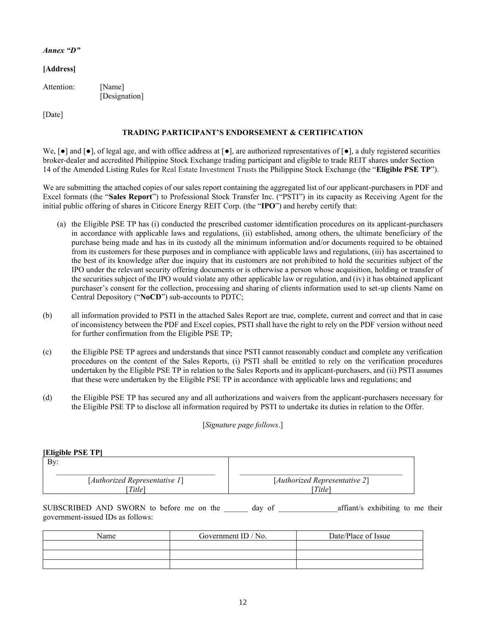## *Annex "D"*

# **[Address]**

| Attention: | [Name]        |
|------------|---------------|
|            | [Designation] |

[Date]

# **TRADING PARTICIPANT'S ENDORSEMENT & CERTIFICATION**

We,  $[\bullet]$  and  $[\bullet]$ , of legal age, and with office address at  $[\bullet]$ , are authorized representatives of  $[\bullet]$ , a duly registered securities broker-dealer and accredited Philippine Stock Exchange trading participant and eligible to trade REIT shares under Section 14 of the Amended Listing Rules for Real Estate Investment Trusts the Philippine Stock Exchange (the "**Eligible PSE TP**").

We are submitting the attached copies of our sales report containing the aggregated list of our applicant-purchasers in PDF and Excel formats (the "**Sales Report**") to Professional Stock Transfer Inc. ("PSTI") in its capacity as Receiving Agent for the initial public offering of shares in Citicore Energy REIT Corp. (the "**IPO**") and hereby certify that:

- (a) the Eligible PSE TP has (i) conducted the prescribed customer identification procedures on its applicant-purchasers in accordance with applicable laws and regulations, (ii) established, among others, the ultimate beneficiary of the purchase being made and has in its custody all the minimum information and/or documents required to be obtained from its customers for these purposes and in compliance with applicable laws and regulations, (iii) has ascertained to the best of its knowledge after due inquiry that its customers are not prohibited to hold the securities subject of the IPO under the relevant security offering documents or is otherwise a person whose acquisition, holding or transfer of the securities subject of the IPO would violate any other applicable law or regulation, and (iv) it has obtained applicant purchaser's consent for the collection, processing and sharing of clients information used to set-up clients Name on Central Depository ("**NoCD**") sub-accounts to PDTC;
- (b) all information provided to PSTI in the attached Sales Report are true, complete, current and correct and that in case of inconsistency between the PDF and Excel copies, PSTI shall have the right to rely on the PDF version without need for further confirmation from the Eligible PSE TP;
- (c) the Eligible PSE TP agrees and understands that since PSTI cannot reasonably conduct and complete any verification procedures on the content of the Sales Reports, (i) PSTI shall be entitled to rely on the verification procedures undertaken by the Eligible PSE TP in relation to the Sales Reports and its applicant-purchasers, and (ii) PSTI assumes that these were undertaken by the Eligible PSE TP in accordance with applicable laws and regulations; and
- (d) the Eligible PSE TP has secured any and all authorizations and waivers from the applicant-purchasers necessary for the Eligible PSE TP to disclose all information required by PSTI to undertake its duties in relation to the Offer.

[*Signature page follows*.]

| [Eligible PSE TP]             |                               |  |
|-------------------------------|-------------------------------|--|
| Bv:                           |                               |  |
| [Authorized Representative 1] | [Authorized Representative 2] |  |
| <i>Title</i> ]                | Title]                        |  |

SUBSCRIBED AND SWORN to before me on the \_\_\_\_\_\_ day of \_\_\_\_\_\_\_\_\_\_\_\_\_\_\_affiant/s exhibiting to me their government-issued IDs as follows:

| Name | Government ID / No. | Date/Place of Issue |
|------|---------------------|---------------------|
|      |                     |                     |
|      |                     |                     |
|      |                     |                     |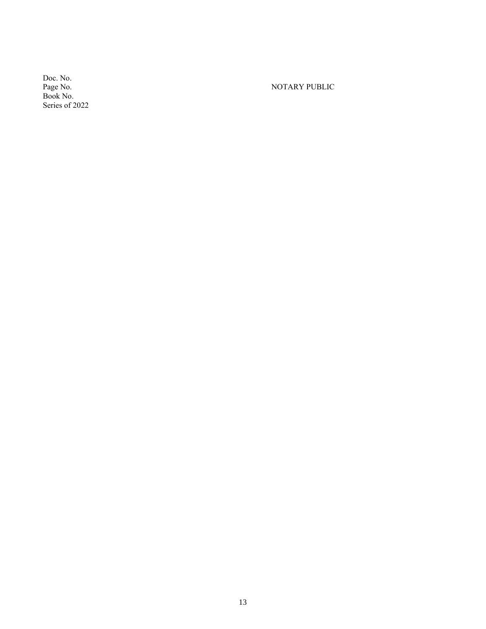Doc. No. Book No. Series of 2022

NOTARY PUBLIC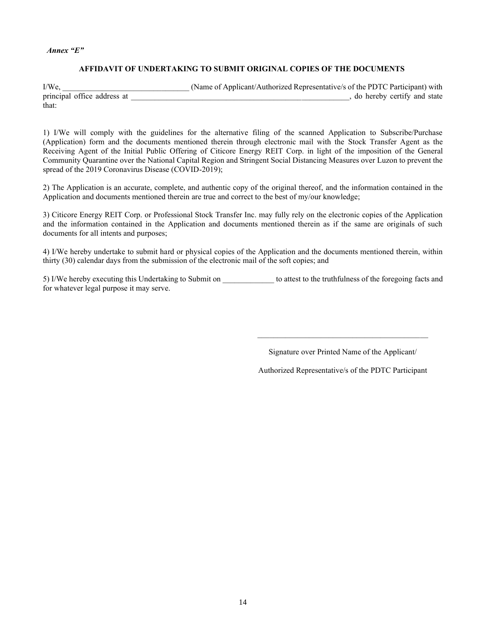#### *Annex "E"*

## **AFFIDAVIT OF UNDERTAKING TO SUBMIT ORIGINAL COPIES OF THE DOCUMENTS**

I/We, \_\_\_\_\_\_\_\_\_\_\_\_\_\_\_\_\_\_\_\_\_\_\_\_\_\_\_\_\_\_\_\_ (Name of Applicant/Authorized Representative/s of the PDTC Participant) with principal office address at \_\_\_\_\_\_\_\_\_\_\_\_\_\_\_\_\_\_\_\_\_\_\_\_\_\_\_\_\_\_\_\_\_\_\_\_\_\_\_\_\_\_\_\_\_\_\_\_\_\_\_\_\_\_\_, do hereby certify and state that:

1) I/We will comply with the guidelines for the alternative filing of the scanned Application to Subscribe/Purchase (Application) form and the documents mentioned therein through electronic mail with the Stock Transfer Agent as the Receiving Agent of the Initial Public Offering of Citicore Energy REIT Corp. in light of the imposition of the General Community Quarantine over the National Capital Region and Stringent Social Distancing Measures over Luzon to prevent the spread of the 2019 Coronavirus Disease (COVID-2019);

2) The Application is an accurate, complete, and authentic copy of the original thereof, and the information contained in the Application and documents mentioned therein are true and correct to the best of my/our knowledge;

3) Citicore Energy REIT Corp. or Professional Stock Transfer Inc. may fully rely on the electronic copies of the Application and the information contained in the Application and documents mentioned therein as if the same are originals of such documents for all intents and purposes;

4) I/We hereby undertake to submit hard or physical copies of the Application and the documents mentioned therein, within thirty (30) calendar days from the submission of the electronic mail of the soft copies; and

5) I/We hereby executing this Undertaking to Submit on \_\_\_\_\_\_\_\_\_\_\_\_\_ to attest to the truthfulness of the foregoing facts and for whatever legal purpose it may serve.

Signature over Printed Name of the Applicant/

Authorized Representative/s of the PDTC Participant